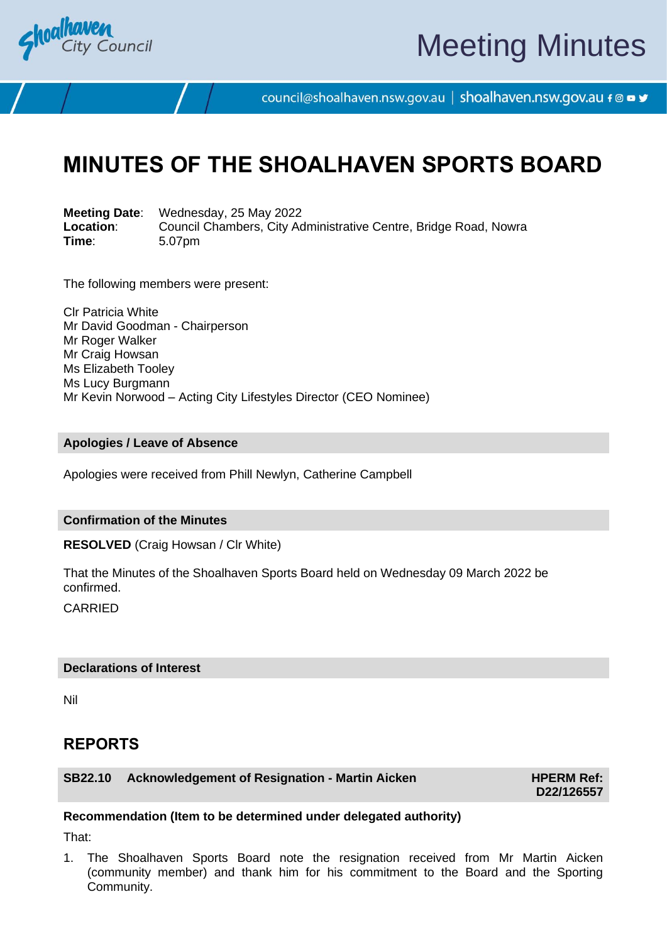

# Meeting Minutes

council@shoalhaven.nsw.gov.au | shoalhaven.nsw.gov.au f @ ■ y

## **MINUTES OF THE SHOALHAVEN SPORTS BOARD**

**Meeting Date**: Wednesday, 25 May 2022 **Location:** Council Chambers, City Administrative Centre, Bridge Road, Nowra<br>
Time: 5.07pm **Time**: 5.07pm

The following members were present:

Clr Patricia White Mr David Goodman - Chairperson Mr Roger Walker Mr Craig Howsan Ms Elizabeth Tooley Ms Lucy Burgmann Mr Kevin Norwood – Acting City Lifestyles Director (CEO Nominee)

#### **Apologies / Leave of Absence**

Apologies were received from Phill Newlyn, Catherine Campbell

#### **Confirmation of the Minutes**

**RESOLVED** (Craig Howsan / Clr White)

That the Minutes of the Shoalhaven Sports Board held on Wednesday 09 March 2022 be confirmed.

**CARRIED** 

#### **Declarations of Interest**

Nil

### **REPORTS**

**SB22.10** Acknowledgement of Resignation - Martin Aicken **HPERM Ref:** 

**D22/126557**

#### **Recommendation (Item to be determined under delegated authority)**

That:

1. The Shoalhaven Sports Board note the resignation received from Mr Martin Aicken (community member) and thank him for his commitment to the Board and the Sporting Community.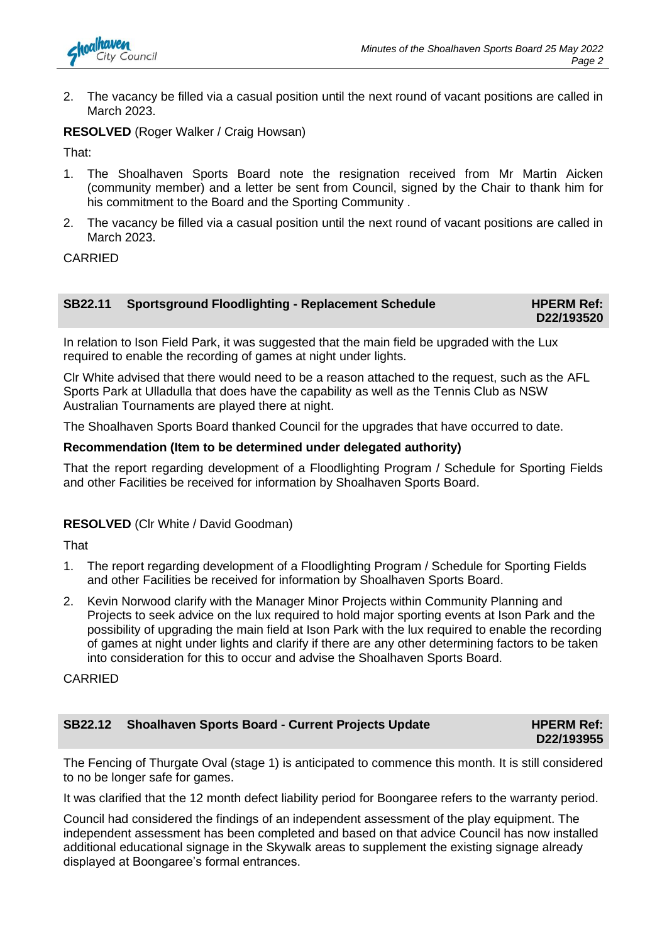

2. The vacancy be filled via a casual position until the next round of vacant positions are called in March 2023.

#### **RESOLVED** (Roger Walker / Craig Howsan)

That:

- 1. The Shoalhaven Sports Board note the resignation received from Mr Martin Aicken (community member) and a letter be sent from Council, signed by the Chair to thank him for his commitment to the Board and the Sporting Community .
- 2. The vacancy be filled via a casual position until the next round of vacant positions are called in March 2023.

#### CARRIED

| <b>SB22.11 Sportsground Floodlighting - Replacement Schedule</b> | <b>HPERM Ref:</b> |
|------------------------------------------------------------------|-------------------|
|                                                                  | D22/193520        |

In relation to Ison Field Park, it was suggested that the main field be upgraded with the Lux required to enable the recording of games at night under lights.

Clr White advised that there would need to be a reason attached to the request, such as the AFL Sports Park at Ulladulla that does have the capability as well as the Tennis Club as NSW Australian Tournaments are played there at night.

The Shoalhaven Sports Board thanked Council for the upgrades that have occurred to date.

#### **Recommendation (Item to be determined under delegated authority)**

That the report regarding development of a Floodlighting Program / Schedule for Sporting Fields and other Facilities be received for information by Shoalhaven Sports Board.

#### **RESOLVED** (Clr White / David Goodman)

That

- 1. The report regarding development of a Floodlighting Program / Schedule for Sporting Fields and other Facilities be received for information by Shoalhaven Sports Board.
- 2. Kevin Norwood clarify with the Manager Minor Projects within Community Planning and Projects to seek advice on the lux required to hold major sporting events at Ison Park and the possibility of upgrading the main field at Ison Park with the lux required to enable the recording of games at night under lights and clarify if there are any other determining factors to be taken into consideration for this to occur and advise the Shoalhaven Sports Board.

CARRIED

| SB22.12 Shoalhaven Sports Board - Current Projects Update | <b>HPERM Ref:</b> |
|-----------------------------------------------------------|-------------------|
|                                                           | D22/193955        |

The Fencing of Thurgate Oval (stage 1) is anticipated to commence this month. It is still considered to no be longer safe for games.

It was clarified that the 12 month defect liability period for Boongaree refers to the warranty period.

Council had considered the findings of an independent assessment of the play equipment. The independent assessment has been completed and based on that advice Council has now installed additional educational signage in the Skywalk areas to supplement the existing signage already displayed at Boongaree's formal entrances.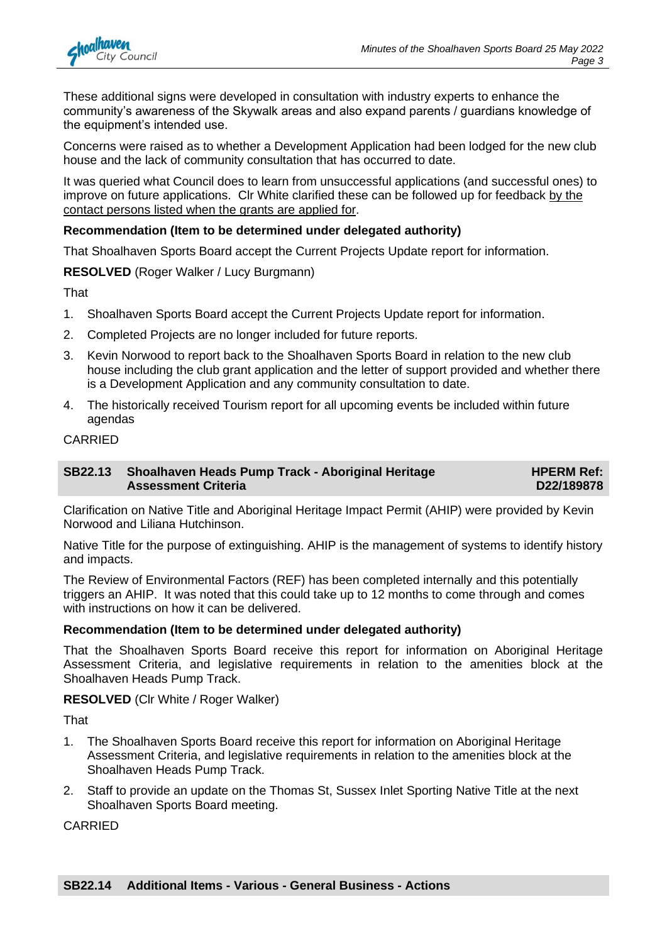

These additional signs were developed in consultation with industry experts to enhance the community's awareness of the Skywalk areas and also expand parents / guardians knowledge of the equipment's intended use.

Concerns were raised as to whether a Development Application had been lodged for the new club house and the lack of community consultation that has occurred to date.

It was queried what Council does to learn from unsuccessful applications (and successful ones) to improve on future applications. Clr White clarified these can be followed up for feedback by the contact persons listed when the grants are applied for.

#### **Recommendation (Item to be determined under delegated authority)**

That Shoalhaven Sports Board accept the Current Projects Update report for information.

**RESOLVED** (Roger Walker / Lucy Burgmann)

That

- 1. Shoalhaven Sports Board accept the Current Projects Update report for information.
- 2. Completed Projects are no longer included for future reports.
- 3. Kevin Norwood to report back to the Shoalhaven Sports Board in relation to the new club house including the club grant application and the letter of support provided and whether there is a Development Application and any community consultation to date.
- 4. The historically received Tourism report for all upcoming events be included within future agendas

#### CARRIED

#### **SB22.13 Shoalhaven Heads Pump Track - Aboriginal Heritage Assessment Criteria**

**HPERM Ref: D22/189878**

Clarification on Native Title and Aboriginal Heritage Impact Permit (AHIP) were provided by Kevin Norwood and Liliana Hutchinson.

Native Title for the purpose of extinguishing. AHIP is the management of systems to identify history and impacts.

The Review of Environmental Factors (REF) has been completed internally and this potentially triggers an AHIP. It was noted that this could take up to 12 months to come through and comes with instructions on how it can be delivered.

#### **Recommendation (Item to be determined under delegated authority)**

That the Shoalhaven Sports Board receive this report for information on Aboriginal Heritage Assessment Criteria, and legislative requirements in relation to the amenities block at the Shoalhaven Heads Pump Track.

#### **RESOLVED** (Clr White / Roger Walker)

That

- 1. The Shoalhaven Sports Board receive this report for information on Aboriginal Heritage Assessment Criteria, and legislative requirements in relation to the amenities block at the Shoalhaven Heads Pump Track.
- 2. Staff to provide an update on the Thomas St, Sussex Inlet Sporting Native Title at the next Shoalhaven Sports Board meeting.

CARRIED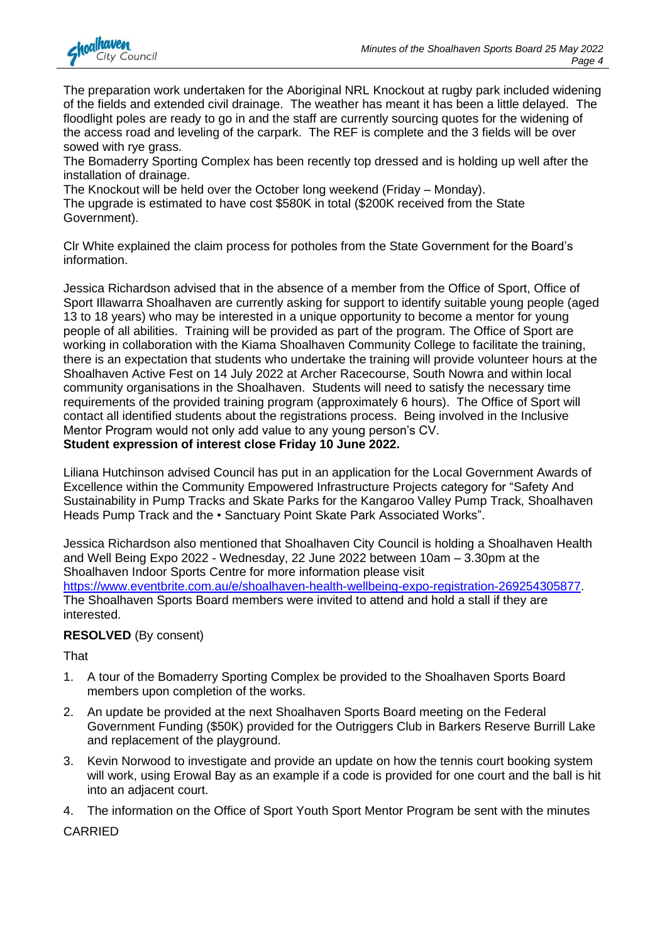

The preparation work undertaken for the Aboriginal NRL Knockout at rugby park included widening of the fields and extended civil drainage. The weather has meant it has been a little delayed. The floodlight poles are ready to go in and the staff are currently sourcing quotes for the widening of the access road and leveling of the carpark. The REF is complete and the 3 fields will be over sowed with rye grass.

The Bomaderry Sporting Complex has been recently top dressed and is holding up well after the installation of drainage.

The Knockout will be held over the October long weekend (Friday – Monday). The upgrade is estimated to have cost \$580K in total (\$200K received from the State Government).

Clr White explained the claim process for potholes from the State Government for the Board's information.

Jessica Richardson advised that in the absence of a member from the Office of Sport, Office of Sport Illawarra Shoalhaven are currently asking for support to identify suitable young people (aged 13 to 18 years) who may be interested in a unique opportunity to become a mentor for young people of all abilities. Training will be provided as part of the program. The Office of Sport are working in collaboration with the Kiama Shoalhaven Community College to facilitate the training, there is an expectation that students who undertake the training will provide volunteer hours at the Shoalhaven Active Fest on 14 July 2022 at Archer Racecourse, South Nowra and within local community organisations in the Shoalhaven. Students will need to satisfy the necessary time requirements of the provided training program (approximately 6 hours). The Office of Sport will contact all identified students about the registrations process. Being involved in the Inclusive Mentor Program would not only add value to any young person's CV. **Student expression of interest close Friday 10 June 2022.**

Liliana Hutchinson advised Council has put in an application for the Local Government Awards of Excellence within the Community Empowered Infrastructure Projects category for "Safety And Sustainability in Pump Tracks and Skate Parks for the Kangaroo Valley Pump Track, Shoalhaven Heads Pump Track and the • Sanctuary Point Skate Park Associated Works".

Jessica Richardson also mentioned that Shoalhaven City Council is holding a Shoalhaven Health and Well Being Expo 2022 - Wednesday, 22 June 2022 between 10am – 3.30pm at the Shoalhaven Indoor Sports Centre for more information please visit [https://www.eventbrite.com.au/e/shoalhaven-health-wellbeing-expo-registration-269254305877.](https://www.eventbrite.com.au/e/shoalhaven-health-wellbeing-expo-registration-269254305877) The Shoalhaven Sports Board members were invited to attend and hold a stall if they are interested.

#### **RESOLVED** (By consent)

That

- 1. A tour of the Bomaderry Sporting Complex be provided to the Shoalhaven Sports Board members upon completion of the works.
- 2. An update be provided at the next Shoalhaven Sports Board meeting on the Federal Government Funding (\$50K) provided for the Outriggers Club in Barkers Reserve Burrill Lake and replacement of the playground.
- 3. Kevin Norwood to investigate and provide an update on how the tennis court booking system will work, using Erowal Bay as an example if a code is provided for one court and the ball is hit into an adjacent court.
- 4. The information on the Office of Sport Youth Sport Mentor Program be sent with the minutes

CARRIED